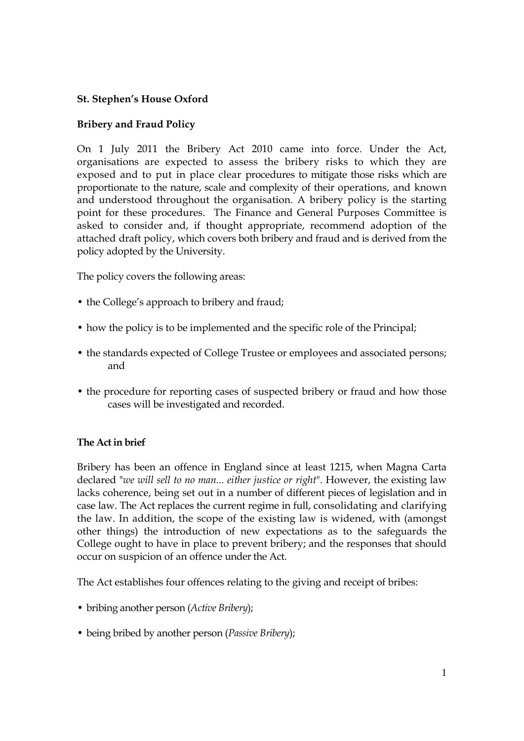# **St. Stephen's House Oxford**

# **Bribery and Fraud Policy**

On 1 July 2011 the Bribery Act 2010 came into force. Under the Act, organisations are expected to assess the bribery risks to which they are exposed and to put in place clear procedures to mitigate those risks which are proportionate to the nature, scale and complexity of their operations, and known and understood throughout the organisation. A bribery policy is the starting point for these procedures. The Finance and General Purposes Committee is asked to consider and, if thought appropriate, recommend adoption of the attached draft policy, which covers both bribery and fraud and is derived from the policy adopted by the University.

The policy covers the following areas:

- the College's approach to bribery and fraud;
- how the policy is to be implemented and the specific role of the Principal;
- the standards expected of College Trustee or employees and associated persons; and
- the procedure for reporting cases of suspected bribery or fraud and how those cases will be investigated and recorded.

## **The Act in brief**

Bribery has been an offence in England since at least 1215, when Magna Carta declared "*we will sell to no man... either justice or right*". However, the existing law lacks coherence, being set out in a number of different pieces of legislation and in case law. The Act replaces the current regime in full, consolidating and clarifying the law. In addition, the scope of the existing law is widened, with (amongst other things) the introduction of new expectations as to the safeguards the College ought to have in place to prevent bribery; and the responses that should occur on suspicion of an offence under the Act.

The Act establishes four offences relating to the giving and receipt of bribes:

- bribing another person (*Active Bribery*);
- being bribed by another person (*Passive Bribery*);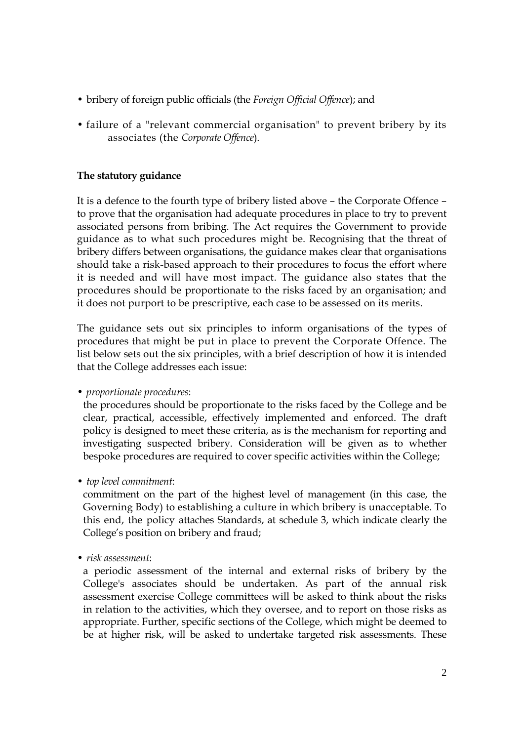- bribery of foreign public officials (the *Foreign Official Offence*); and
- failure of a "relevant commercial organisation" to prevent bribery by its associates (the *Corporate Offence*).

### **The statutory guidance**

It is a defence to the fourth type of bribery listed above – the Corporate Offence – to prove that the organisation had adequate procedures in place to try to prevent associated persons from bribing. The Act requires the Government to provide guidance as to what such procedures might be. Recognising that the threat of bribery differs between organisations, the guidance makes clear that organisations should take a risk-based approach to their procedures to focus the effort where it is needed and will have most impact. The guidance also states that the procedures should be proportionate to the risks faced by an organisation; and it does not purport to be prescriptive, each case to be assessed on its merits.

The guidance sets out six principles to inform organisations of the types of procedures that might be put in place to prevent the Corporate Offence. The list below sets out the six principles, with a brief description of how it is intended that the College addresses each issue:

• *proportionate procedures*:

the procedures should be proportionate to the risks faced by the College and be clear, practical, accessible, effectively implemented and enforced. The draft policy is designed to meet these criteria, as is the mechanism for reporting and investigating suspected bribery. Consideration will be given as to whether bespoke procedures are required to cover specific activities within the College;

• *top level commitment*:

commitment on the part of the highest level of management (in this case, the Governing Body) to establishing a culture in which bribery is unacceptable. To this end, the policy attaches Standards, at schedule 3, which indicate clearly the College's position on bribery and fraud;

• *risk assessment*:

a periodic assessment of the internal and external risks of bribery by the College's associates should be undertaken. As part of the annual risk assessment exercise College committees will be asked to think about the risks in relation to the activities, which they oversee, and to report on those risks as appropriate. Further, specific sections of the College, which might be deemed to be at higher risk, will be asked to undertake targeted risk assessments. These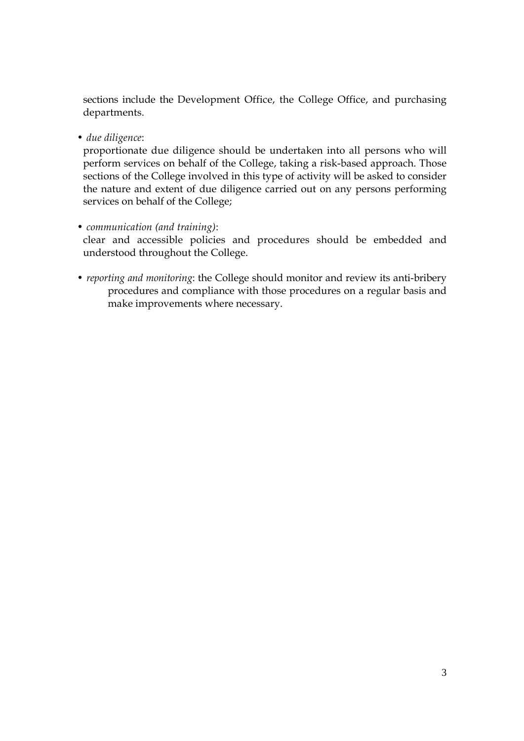sections include the Development Office, the College Office, and purchasing departments.

• *due diligence*:

proportionate due diligence should be undertaken into all persons who will perform services on behalf of the College, taking a risk-based approach. Those sections of the College involved in this type of activity will be asked to consider the nature and extent of due diligence carried out on any persons performing services on behalf of the College;

- *communication (and training)*: clear and accessible policies and procedures should be embedded and understood throughout the College.
- *reporting and monitoring*: the College should monitor and review its anti-bribery procedures and compliance with those procedures on a regular basis and make improvements where necessary.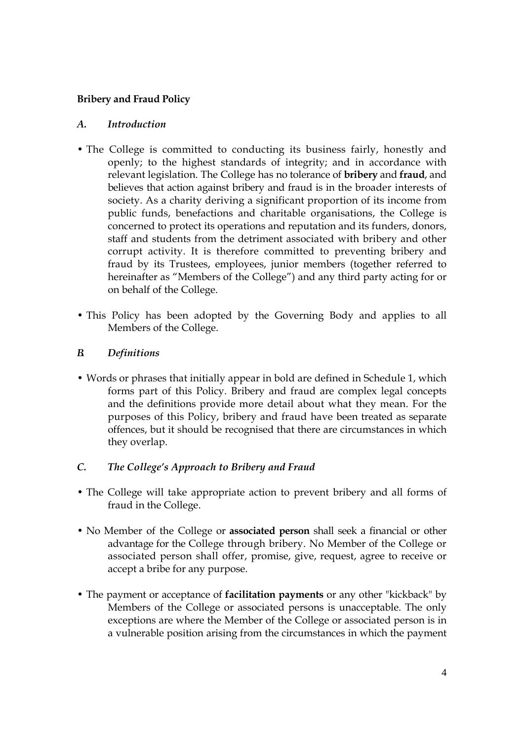# **Bribery and Fraud Policy**

### *A. Introduction*

- The College is committed to conducting its business fairly, honestly and openly; to the highest standards of integrity; and in accordance with relevant legislation. The College has no tolerance of **bribery** and **fraud**, and believes that action against bribery and fraud is in the broader interests of society. As a charity deriving a significant proportion of its income from public funds, benefactions and charitable organisations, the College is concerned to protect its operations and reputation and its funders, donors, staff and students from the detriment associated with bribery and other corrupt activity. It is therefore committed to preventing bribery and fraud by its Trustees, employees, junior members (together referred to hereinafter as "Members of the College") and any third party acting for or on behalf of the College.
- This Policy has been adopted by the Governing Body and applies to all Members of the College.

### *B. Definitions*

• Words or phrases that initially appear in bold are defined in Schedule 1, which forms part of this Policy. Bribery and fraud are complex legal concepts and the definitions provide more detail about what they mean. For the purposes of this Policy, bribery and fraud have been treated as separate offences, but it should be recognised that there are circumstances in which they overlap.

# *C. The College's Approach to Bribery and Fraud*

- The College will take appropriate action to prevent bribery and all forms of fraud in the College.
- No Member of the College or **associated person** shall seek a financial or other advantage for the College through bribery. No Member of the College or associated person shall offer, promise, give, request, agree to receive or accept a bribe for any purpose.
- The payment or acceptance of **facilitation payments** or any other "kickback" by Members of the College or associated persons is unacceptable. The only exceptions are where the Member of the College or associated person is in a vulnerable position arising from the circumstances in which the payment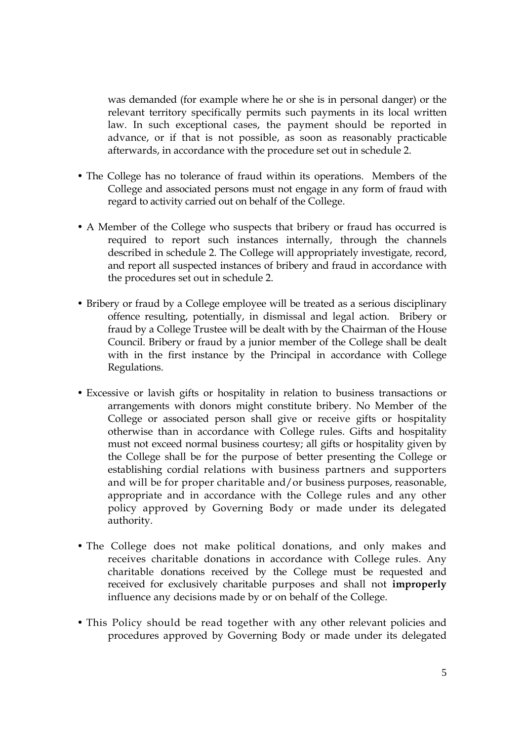was demanded (for example where he or she is in personal danger) or the relevant territory specifically permits such payments in its local written law. In such exceptional cases, the payment should be reported in advance, or if that is not possible, as soon as reasonably practicable afterwards, in accordance with the procedure set out in schedule 2.

- The College has no tolerance of fraud within its operations. Members of the College and associated persons must not engage in any form of fraud with regard to activity carried out on behalf of the College.
- A Member of the College who suspects that bribery or fraud has occurred is required to report such instances internally, through the channels described in schedule 2. The College will appropriately investigate, record, and report all suspected instances of bribery and fraud in accordance with the procedures set out in schedule 2.
- Bribery or fraud by a College employee will be treated as a serious disciplinary offence resulting, potentially, in dismissal and legal action. Bribery or fraud by a College Trustee will be dealt with by the Chairman of the House Council. Bribery or fraud by a junior member of the College shall be dealt with in the first instance by the Principal in accordance with College Regulations.
- Excessive or lavish gifts or hospitality in relation to business transactions or arrangements with donors might constitute bribery. No Member of the College or associated person shall give or receive gifts or hospitality otherwise than in accordance with College rules. Gifts and hospitality must not exceed normal business courtesy; all gifts or hospitality given by the College shall be for the purpose of better presenting the College or establishing cordial relations with business partners and supporters and will be for proper charitable and/or business purposes, reasonable, appropriate and in accordance with the College rules and any other policy approved by Governing Body or made under its delegated authority.
- The College does not make political donations, and only makes and receives charitable donations in accordance with College rules. Any charitable donations received by the College must be requested and received for exclusively charitable purposes and shall not **improperly** influence any decisions made by or on behalf of the College.
- This Policy should be read together with any other relevant policies and procedures approved by Governing Body or made under its delegated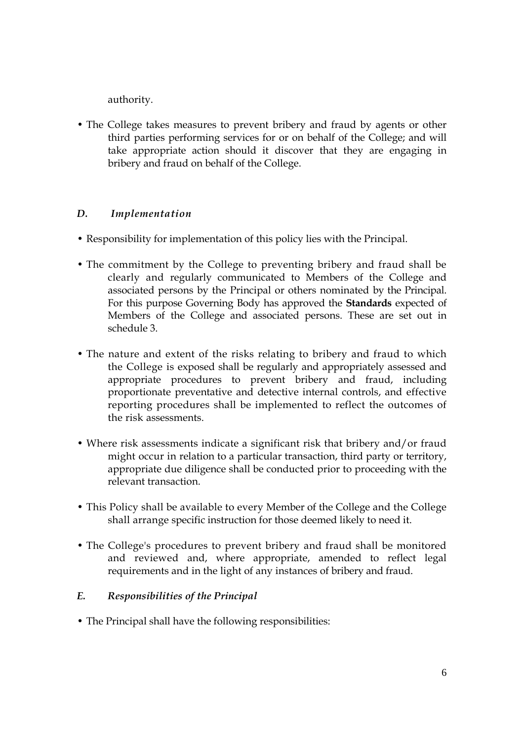authority.

• The College takes measures to prevent bribery and fraud by agents or other third parties performing services for or on behalf of the College; and will take appropriate action should it discover that they are engaging in bribery and fraud on behalf of the College.

# *D. Implementation*

- Responsibility for implementation of this policy lies with the Principal.
- The commitment by the College to preventing bribery and fraud shall be clearly and regularly communicated to Members of the College and associated persons by the Principal or others nominated by the Principal. For this purpose Governing Body has approved the **Standards** expected of Members of the College and associated persons. These are set out in schedule 3.
- The nature and extent of the risks relating to bribery and fraud to which the College is exposed shall be regularly and appropriately assessed and appropriate procedures to prevent bribery and fraud, including proportionate preventative and detective internal controls, and effective reporting procedures shall be implemented to reflect the outcomes of the risk assessments.
- Where risk assessments indicate a significant risk that bribery and/or fraud might occur in relation to a particular transaction, third party or territory, appropriate due diligence shall be conducted prior to proceeding with the relevant transaction.
- This Policy shall be available to every Member of the College and the College shall arrange specific instruction for those deemed likely to need it.
- The College's procedures to prevent bribery and fraud shall be monitored and reviewed and, where appropriate, amended to reflect legal requirements and in the light of any instances of bribery and fraud.

## *E. Responsibilities of the Principal*

• The Principal shall have the following responsibilities: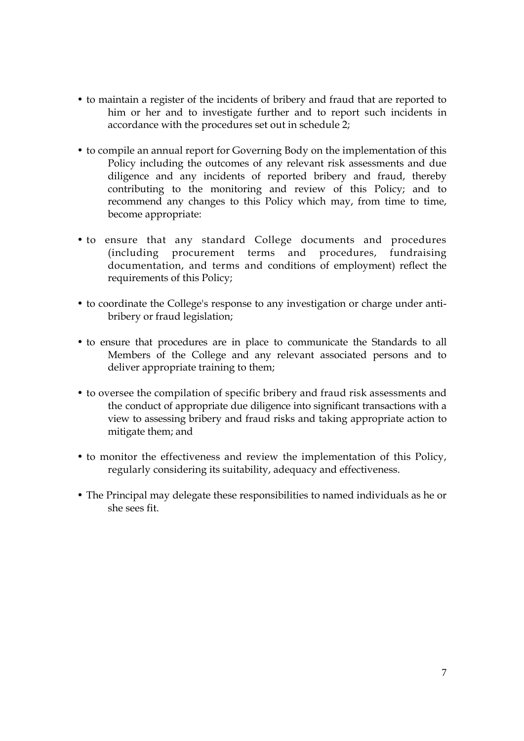- to maintain a register of the incidents of bribery and fraud that are reported to him or her and to investigate further and to report such incidents in accordance with the procedures set out in schedule 2;
- to compile an annual report for Governing Body on the implementation of this Policy including the outcomes of any relevant risk assessments and due diligence and any incidents of reported bribery and fraud, thereby contributing to the monitoring and review of this Policy; and to recommend any changes to this Policy which may, from time to time, become appropriate:
- to ensure that any standard College documents and procedures (including procurement terms and procedures, fundraising documentation, and terms and conditions of employment) reflect the requirements of this Policy;
- to coordinate the College's response to any investigation or charge under antibribery or fraud legislation;
- to ensure that procedures are in place to communicate the Standards to all Members of the College and any relevant associated persons and to deliver appropriate training to them;
- to oversee the compilation of specific bribery and fraud risk assessments and the conduct of appropriate due diligence into significant transactions with a view to assessing bribery and fraud risks and taking appropriate action to mitigate them; and
- to monitor the effectiveness and review the implementation of this Policy, regularly considering its suitability, adequacy and effectiveness.
- The Principal may delegate these responsibilities to named individuals as he or she sees fit.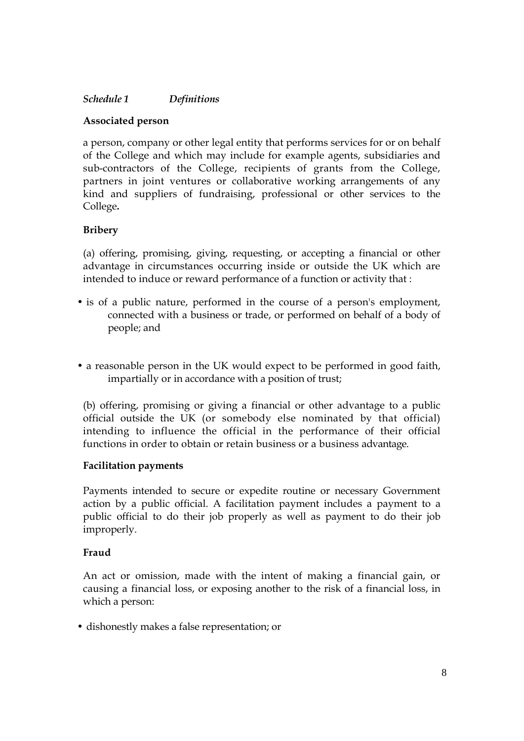## *Schedule 1 Definitions*

#### **Associated person**

a person, company or other legal entity that performs services for or on behalf of the College and which may include for example agents, subsidiaries and sub-contractors of the College, recipients of grants from the College, partners in joint ventures or collaborative working arrangements of any kind and suppliers of fundraising, professional or other services to the College**.** 

### **Bribery**

(a) offering, promising, giving, requesting, or accepting a financial or other advantage in circumstances occurring inside or outside the UK which are intended to induce or reward performance of a function or activity that :

- is of a public nature, performed in the course of a person's employment, connected with a business or trade, or performed on behalf of a body of people; and
- a reasonable person in the UK would expect to be performed in good faith, impartially or in accordance with a position of trust;

(b) offering, promising or giving a financial or other advantage to a public official outside the UK (or somebody else nominated by that official) intending to influence the official in the performance of their official functions in order to obtain or retain business or a business advantage.

#### **Facilitation payments**

Payments intended to secure or expedite routine or necessary Government action by a public official. A facilitation payment includes a payment to a public official to do their job properly as well as payment to do their job improperly.

#### **Fraud**

An act or omission, made with the intent of making a financial gain, or causing a financial loss, or exposing another to the risk of a financial loss, in which a person:

• dishonestly makes a false representation; or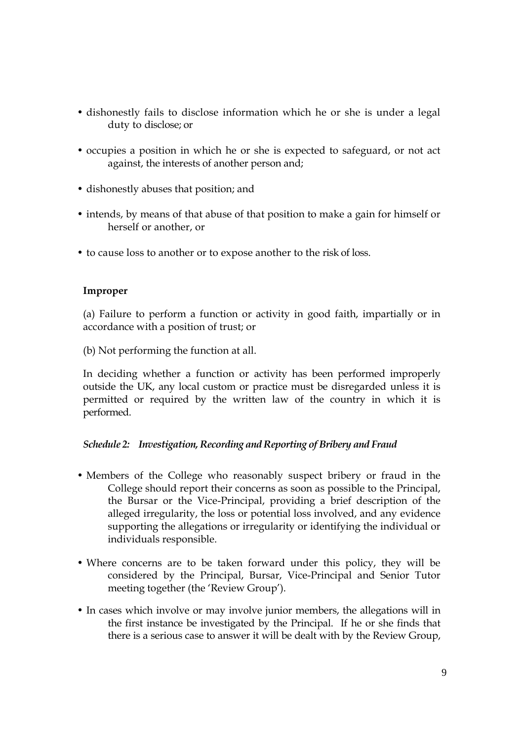- dishonestly fails to disclose information which he or she is under a legal duty to disclose; or
- occupies a position in which he or she is expected to safeguard, or not act against, the interests of another person and;
- dishonestly abuses that position; and
- intends, by means of that abuse of that position to make a gain for himself or herself or another, or
- to cause loss to another or to expose another to the risk of loss.

#### **Improper**

(a) Failure to perform a function or activity in good faith, impartially or in accordance with a position of trust; or

(b) Not performing the function at all.

In deciding whether a function or activity has been performed improperly outside the UK, any local custom or practice must be disregarded unless it is permitted or required by the written law of the country in which it is performed.

#### *Schedule 2: Investigation, Recording and Reporting of Bribery and Fraud*

- Members of the College who reasonably suspect bribery or fraud in the College should report their concerns as soon as possible to the Principal, the Bursar or the Vice-Principal, providing a brief description of the alleged irregularity, the loss or potential loss involved, and any evidence supporting the allegations or irregularity or identifying the individual or individuals responsible.
- Where concerns are to be taken forward under this policy, they will be considered by the Principal, Bursar, Vice-Principal and Senior Tutor meeting together (the 'Review Group').
- In cases which involve or may involve junior members, the allegations will in the first instance be investigated by the Principal. If he or she finds that there is a serious case to answer it will be dealt with by the Review Group,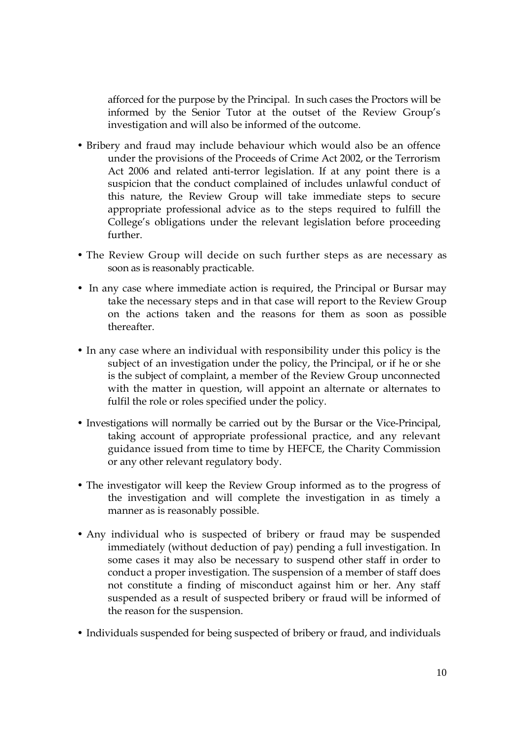afforced for the purpose by the Principal. In such cases the Proctors will be informed by the Senior Tutor at the outset of the Review Group's investigation and will also be informed of the outcome.

- Bribery and fraud may include behaviour which would also be an offence under the provisions of the Proceeds of Crime Act 2002, or the Terrorism Act 2006 and related anti-terror legislation. If at any point there is a suspicion that the conduct complained of includes unlawful conduct of this nature, the Review Group will take immediate steps to secure appropriate professional advice as to the steps required to fulfill the College's obligations under the relevant legislation before proceeding further.
- The Review Group will decide on such further steps as are necessary as soon as is reasonably practicable.
- In any case where immediate action is required, the Principal or Bursar may take the necessary steps and in that case will report to the Review Group on the actions taken and the reasons for them as soon as possible thereafter.
- In any case where an individual with responsibility under this policy is the subject of an investigation under the policy, the Principal, or if he or she is the subject of complaint, a member of the Review Group unconnected with the matter in question, will appoint an alternate or alternates to fulfil the role or roles specified under the policy.
- Investigations will normally be carried out by the Bursar or the Vice-Principal, taking account of appropriate professional practice, and any relevant guidance issued from time to time by HEFCE, the Charity Commission or any other relevant regulatory body.
- The investigator will keep the Review Group informed as to the progress of the investigation and will complete the investigation in as timely a manner as is reasonably possible.
- Any individual who is suspected of bribery or fraud may be suspended immediately (without deduction of pay) pending a full investigation. In some cases it may also be necessary to suspend other staff in order to conduct a proper investigation. The suspension of a member of staff does not constitute a finding of misconduct against him or her. Any staff suspended as a result of suspected bribery or fraud will be informed of the reason for the suspension.
- Individuals suspended for being suspected of bribery or fraud, and individuals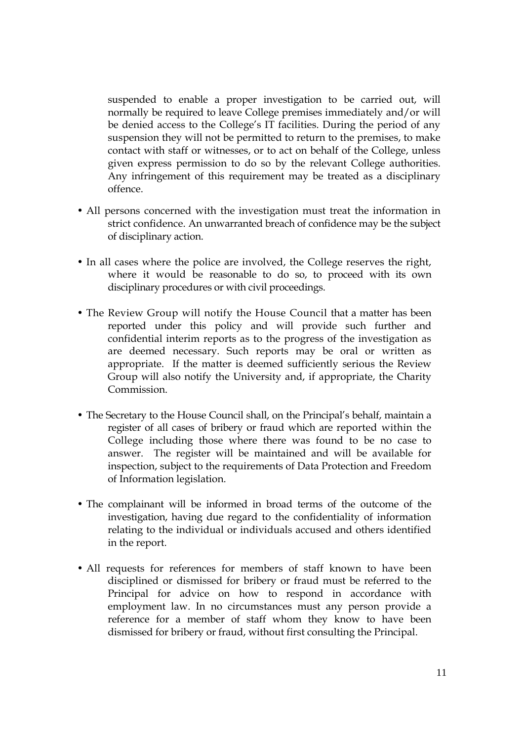suspended to enable a proper investigation to be carried out, will normally be required to leave College premises immediately and/or will be denied access to the College's IT facilities. During the period of any suspension they will not be permitted to return to the premises, to make contact with staff or witnesses, or to act on behalf of the College, unless given express permission to do so by the relevant College authorities. Any infringement of this requirement may be treated as a disciplinary offence.

- All persons concerned with the investigation must treat the information in strict confidence. An unwarranted breach of confidence may be the subject of disciplinary action.
- In all cases where the police are involved, the College reserves the right, where it would be reasonable to do so, to proceed with its own disciplinary procedures or with civil proceedings.
- The Review Group will notify the House Council that a matter has been reported under this policy and will provide such further and confidential interim reports as to the progress of the investigation as are deemed necessary. Such reports may be oral or written as appropriate. If the matter is deemed sufficiently serious the Review Group will also notify the University and, if appropriate, the Charity Commission.
- The Secretary to the House Council shall, on the Principal's behalf, maintain a register of all cases of bribery or fraud which are reported within the College including those where there was found to be no case to answer. The register will be maintained and will be available for inspection, subject to the requirements of Data Protection and Freedom of Information legislation.
- The complainant will be informed in broad terms of the outcome of the investigation, having due regard to the confidentiality of information relating to the individual or individuals accused and others identified in the report.
- All requests for references for members of staff known to have been disciplined or dismissed for bribery or fraud must be referred to the Principal for advice on how to respond in accordance with employment law. In no circumstances must any person provide a reference for a member of staff whom they know to have been dismissed for bribery or fraud, without first consulting the Principal.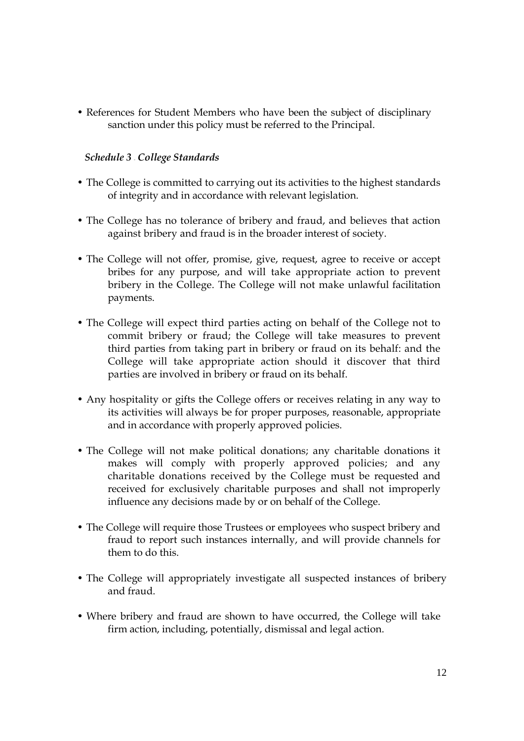• References for Student Members who have been the subject of disciplinary sanction under this policy must be referred to the Principal.

### *Schedule 3 – College Standards*

- The College is committed to carrying out its activities to the highest standards of integrity and in accordance with relevant legislation.
- The College has no tolerance of bribery and fraud, and believes that action against bribery and fraud is in the broader interest of society.
- The College will not offer, promise, give, request, agree to receive or accept bribes for any purpose, and will take appropriate action to prevent bribery in the College. The College will not make unlawful facilitation payments.
- The College will expect third parties acting on behalf of the College not to commit bribery or fraud; the College will take measures to prevent third parties from taking part in bribery or fraud on its behalf: and the College will take appropriate action should it discover that third parties are involved in bribery or fraud on its behalf.
- Any hospitality or gifts the College offers or receives relating in any way to its activities will always be for proper purposes, reasonable, appropriate and in accordance with properly approved policies.
- The College will not make political donations; any charitable donations it makes will comply with properly approved policies; and any charitable donations received by the College must be requested and received for exclusively charitable purposes and shall not improperly influence any decisions made by or on behalf of the College.
- The College will require those Trustees or employees who suspect bribery and fraud to report such instances internally, and will provide channels for them to do this.
- The College will appropriately investigate all suspected instances of bribery and fraud.
- Where bribery and fraud are shown to have occurred, the College will take firm action, including, potentially, dismissal and legal action.